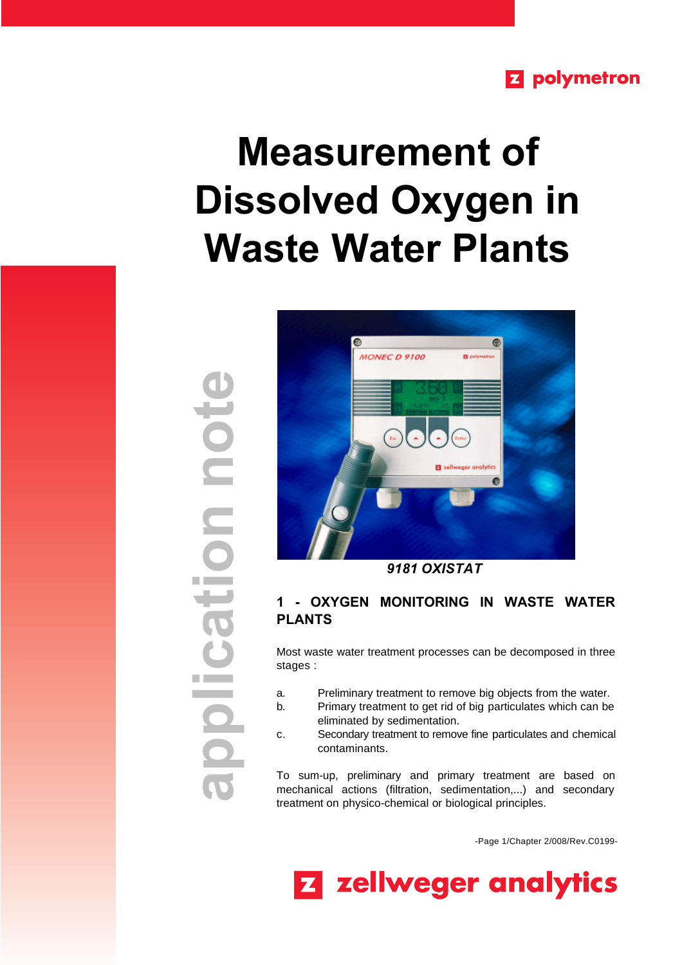## **Z** polymetron

# **Measurement of Dissolved Oxygen in Waste Water Plants**



 *9181 OXISTAT*

### **1 - OXYGEN MONITORING IN WASTE WATER PLANTS**

Most waste water treatment processes can be decomposed in three stages :

- a. Preliminary treatment to remove big objects from the water.
- b. Primary treatment to get rid of big particulates which can be eliminated by sedimentation.
- c. Secondary treatment to remove fine particulates and chemical contaminants.

To sum-up, preliminary and primary treatment are based on mechanical actions (filtration, sedimentation,...) and secondary treatment on physico-chemical or biological principles.

-Page 1/Chapter 2/008/Rev.C0199-



**application note** not nohe <u>ilool</u>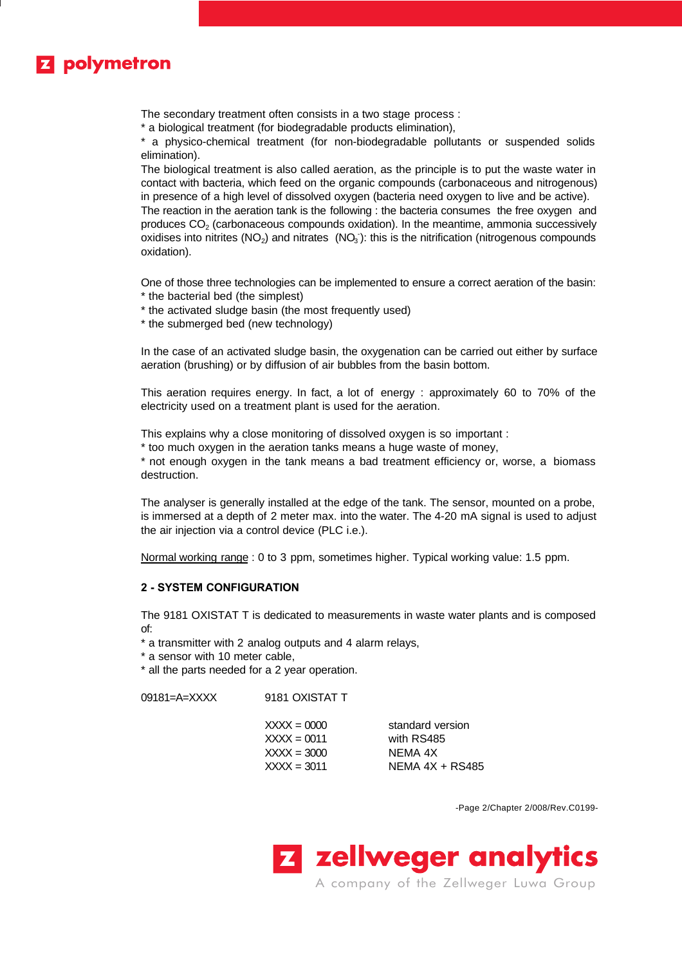

The secondary treatment often consists in a two stage process :

\* a biological treatment (for biodegradable products elimination),

\* a physico-chemical treatment (for non-biodegradable pollutants or suspended solids elimination).

The biological treatment is also called aeration, as the principle is to put the waste water in contact with bacteria, which feed on the organic compounds (carbonaceous and nitrogenous) in presence of a high level of dissolved oxygen (bacteria need oxygen to live and be active). The reaction in the aeration tank is the following : the bacteria consumes the free oxygen and

produces  $CO<sub>2</sub>$  (carbonaceous compounds oxidation). In the meantime, ammonia successively oxidises into nitrites (NO<sub>2</sub>) and nitrates (NO<sub>3</sub>): this is the nitrification (nitrogenous compounds oxidation).

One of those three technologies can be implemented to ensure a correct aeration of the basin: \* the bacterial bed (the simplest)

- \* the activated sludge basin (the most frequently used)
- \* the submerged bed (new technology)

In the case of an activated sludge basin, the oxygenation can be carried out either by surface aeration (brushing) or by diffusion of air bubbles from the basin bottom.

This aeration requires energy. In fact, a lot of energy : approximately 60 to 70% of the electricity used on a treatment plant is used for the aeration.

This explains why a close monitoring of dissolved oxygen is so important :

\* too much oxygen in the aeration tanks means a huge waste of money,

\* not enough oxygen in the tank means a bad treatment efficiency or, worse, a biomass destruction.

The analyser is generally installed at the edge of the tank. The sensor, mounted on a probe, is immersed at a depth of 2 meter max. into the water. The 4-20 mA signal is used to adjust the air injection via a control device (PLC i.e.).

Normal working range : 0 to 3 ppm, sometimes higher. Typical working value: 1.5 ppm.

#### **2 - SYSTEM CONFIGURATION**

The 9181 OXISTAT T is dedicated to measurements in waste water plants and is composed of:

\* a transmitter with 2 analog outputs and 4 alarm relays,

\* a sensor with 10 meter cable,

\* all the parts needed for a 2 year operation.

09181=A=XXXX 9181 OXISTAT T

| $XXX = 0000$ | standard version  |
|--------------|-------------------|
| $XXX = 0011$ | with RS485        |
| XXXX = 3000  | NEMA 4X           |
| XXXX = 3011  | NEMA $4X + RS485$ |
|              |                   |

-Page 2/Chapter 2/008/Rev.C0199-